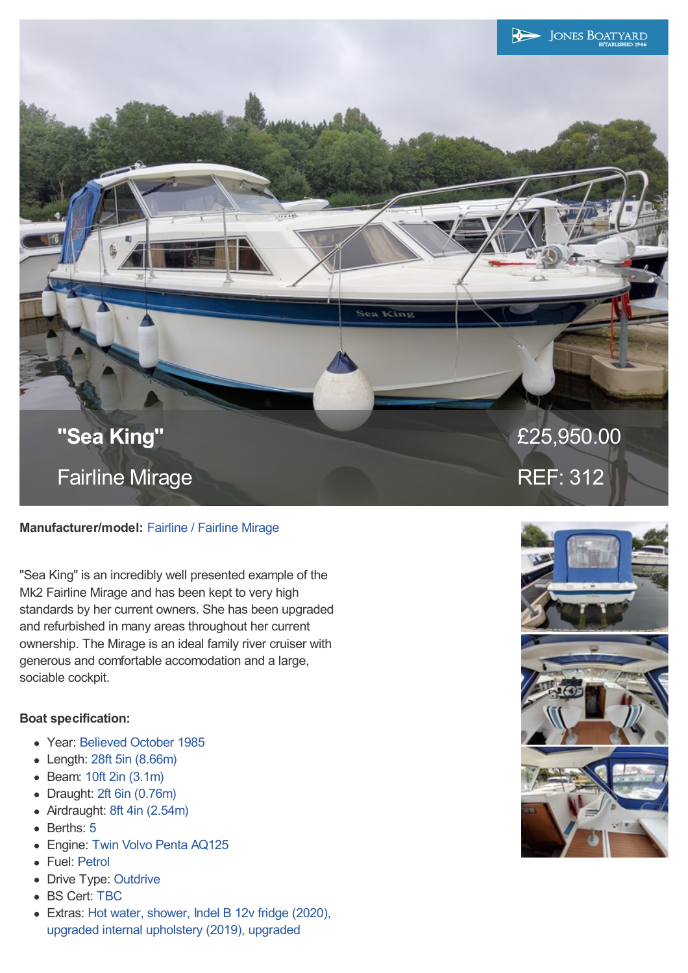

## **Manufacturer/model:** Fairline / Fairline Mirage

"Sea King" is an incredibly well presented example of the Mk2 Fairline Mirage and has been kept to very high standards by her current owners. She has been upgraded and refurbished in many areas throughout her current ownership. The Mirage is an ideal family river cruiser with generous and comfortable accomodation and a large, sociable cockpit.

## **Boat specification:**

- Year: Believed October 1985
- Length: 28ft 5in (8.66m)
- Beam: 10ft 2in (3.1m)
- Draught: 2ft 6in (0.76m)  $\bullet$
- Airdraught: 8ft 4in (2.54m)  $\bullet$
- Berths: 5
- Engine: Twin Volvo Penta AQ125
- Fuel: Petrol
- Drive Type: Outdrive
- BS Cert: TBC
- Extras: Hot water, shower, Indel B 12v fridge (2020), upgraded internal upholstery (2019), upgraded

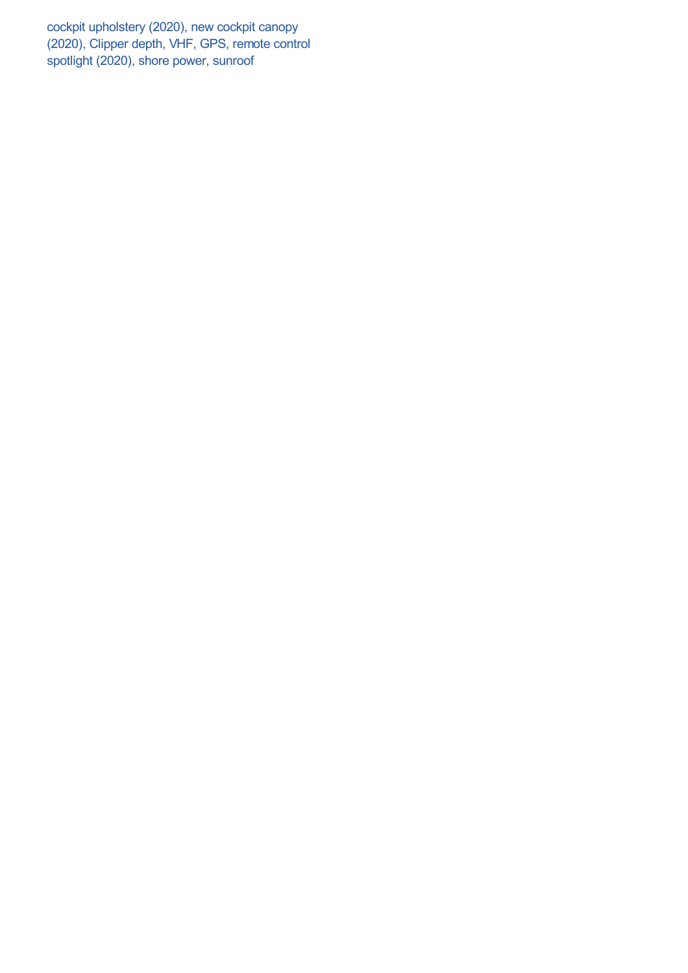cockpit upholstery (2020), new cockpit canopy (2020), Clipper depth, VHF, GPS, remote control spotlight (2020), shore power, sunroof